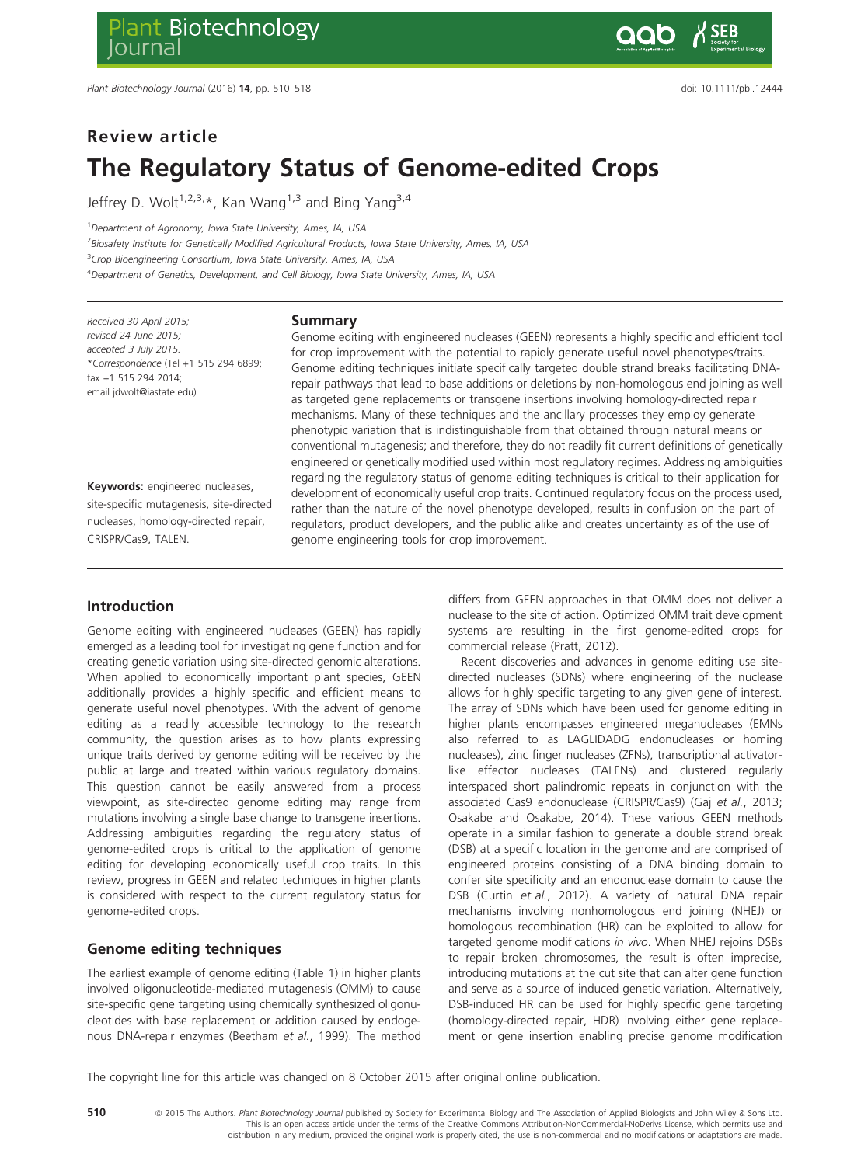Plant Biotechnology Journal (2016) 14, pp. 510-518 doi: 10.1111/pbi.12444

# Review article The Regulatory Status of Genome-edited Crops

Jeffrey D. Wolt<sup>1,2,3,\*</sup>, Kan Wang<sup>1,3</sup> and Bing Yang<sup>3,4</sup>

<sup>1</sup>Department of Agronomy, Iowa State University, Ames, IA, USA

<sup>2</sup>Biosafety Institute for Genetically Modified Agricultural Products, Iowa State University, Ames, IA, USA

<sup>3</sup>Crop Bioengineering Consortium, Iowa State University, Ames, IA, USA

<sup>4</sup>Department of Genetics, Development, and Cell Biology, Iowa State University, Ames, IA, USA

Received 30 April 2015; revised  $24$  lune  $2015$ accepted 3 July 2015. \*Correspondence (Tel +1 515 294 6899; fax +1 515 294 2014; email jdwolt@iastate.edu)

#### Summary

Genome editing with engineered nucleases (GEEN) represents a highly specific and efficient tool for crop improvement with the potential to rapidly generate useful novel phenotypes/traits. Genome editing techniques initiate specifically targeted double strand breaks facilitating DNArepair pathways that lead to base additions or deletions by non-homologous end joining as well as targeted gene replacements or transgene insertions involving homology-directed repair mechanisms. Many of these techniques and the ancillary processes they employ generate phenotypic variation that is indistinguishable from that obtained through natural means or conventional mutagenesis; and therefore, they do not readily fit current definitions of genetically engineered or genetically modified used within most regulatory regimes. Addressing ambiguities regarding the regulatory status of genome editing techniques is critical to their application for development of economically useful crop traits. Continued regulatory focus on the process used, rather than the nature of the novel phenotype developed, results in confusion on the part of regulators, product developers, and the public alike and creates uncertainty as of the use of genome engineering tools for crop improvement.

Keywords: engineered nucleases,

site-specific mutagenesis, site-directed nucleases, homology-directed repair, CRISPR/Cas9, TALEN.

# Introduction

Genome editing with engineered nucleases (GEEN) has rapidly emerged as a leading tool for investigating gene function and for creating genetic variation using site-directed genomic alterations. When applied to economically important plant species, GEEN additionally provides a highly specific and efficient means to generate useful novel phenotypes. With the advent of genome editing as a readily accessible technology to the research community, the question arises as to how plants expressing unique traits derived by genome editing will be received by the public at large and treated within various regulatory domains. This question cannot be easily answered from a process viewpoint, as site-directed genome editing may range from mutations involving a single base change to transgene insertions. Addressing ambiguities regarding the regulatory status of genome-edited crops is critical to the application of genome editing for developing economically useful crop traits. In this review, progress in GEEN and related techniques in higher plants is considered with respect to the current regulatory status for genome-edited crops.

# Genome editing techniques

The earliest example of genome editing (Table 1) in higher plants involved oligonucleotide-mediated mutagenesis (OMM) to cause site-specific gene targeting using chemically synthesized oligonucleotides with base replacement or addition caused by endogenous DNA-repair enzymes (Beetham et al., 1999). The method differs from GEEN approaches in that OMM does not deliver a nuclease to the site of action. Optimized OMM trait development systems are resulting in the first genome-edited crops for commercial release (Pratt, 2012).

Recent discoveries and advances in genome editing use sitedirected nucleases (SDNs) where engineering of the nuclease allows for highly specific targeting to any given gene of interest. The array of SDNs which have been used for genome editing in higher plants encompasses engineered meganucleases (EMNs also referred to as LAGLIDADG endonucleases or homing nucleases), zinc finger nucleases (ZFNs), transcriptional activatorlike effector nucleases (TALENs) and clustered regularly interspaced short palindromic repeats in conjunction with the associated Cas9 endonuclease (CRISPR/Cas9) (Gaj et al., 2013; Osakabe and Osakabe, 2014). These various GEEN methods operate in a similar fashion to generate a double strand break (DSB) at a specific location in the genome and are comprised of engineered proteins consisting of a DNA binding domain to confer site specificity and an endonuclease domain to cause the DSB (Curtin et al., 2012). A variety of natural DNA repair mechanisms involving nonhomologous end joining (NHEJ) or homologous recombination (HR) can be exploited to allow for targeted genome modifications in vivo. When NHEJ rejoins DSBs to repair broken chromosomes, the result is often imprecise, introducing mutations at the cut site that can alter gene function and serve as a source of induced genetic variation. Alternatively, DSB-induced HR can be used for highly specific gene targeting (homology-directed repair, HDR) involving either gene replacement or gene insertion enabling precise genome modification

The copyright line for this article was changed on 8 October 2015 after original online publication.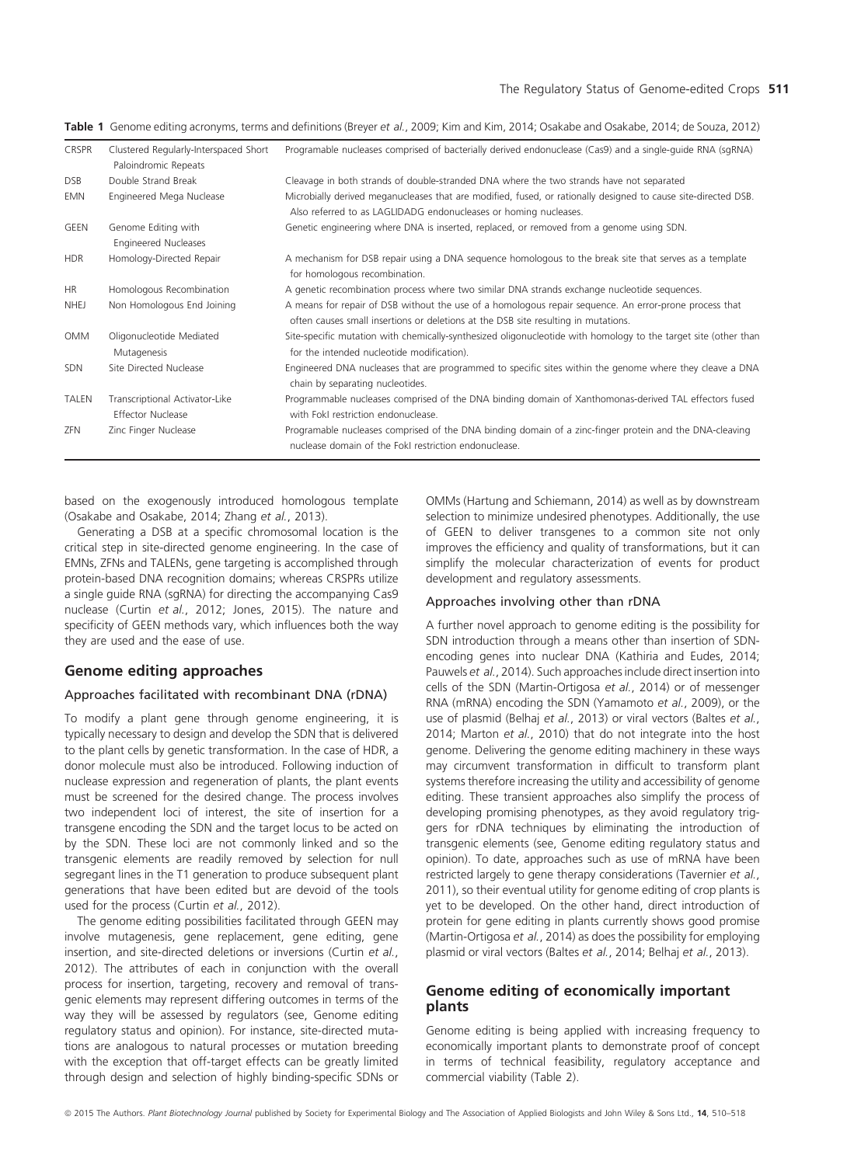Table 1 Genome editing acronyms, terms and definitions (Breyer et al., 2009; Kim and Kim, 2014; Osakabe and Osakabe, 2014; de Souza, 2012)

| <b>CRSPR</b> | Clustered Regularly-Interspaced Short<br>Paloindromic Repeats | Programable nucleases comprised of bacterially derived endonuclease (Cas9) and a single-quide RNA (sqRNA)                                                                                    |
|--------------|---------------------------------------------------------------|----------------------------------------------------------------------------------------------------------------------------------------------------------------------------------------------|
| <b>DSB</b>   | Double Strand Break                                           | Cleavage in both strands of double-stranded DNA where the two strands have not separated                                                                                                     |
| <b>EMN</b>   | Engineered Mega Nuclease                                      | Microbially derived meganucleases that are modified, fused, or rationally designed to cause site-directed DSB.<br>Also referred to as LAGLIDADG endonucleases or homing nucleases.           |
| <b>GEEN</b>  | Genome Editing with<br><b>Engineered Nucleases</b>            | Genetic engineering where DNA is inserted, replaced, or removed from a genome using SDN.                                                                                                     |
| <b>HDR</b>   | Homology-Directed Repair                                      | A mechanism for DSB repair using a DNA sequence homologous to the break site that serves as a template<br>for homologous recombination.                                                      |
| <b>HR</b>    | Homologous Recombination                                      | A genetic recombination process where two similar DNA strands exchange nucleotide sequences.                                                                                                 |
| <b>NHEJ</b>  | Non Homologous End Joining                                    | A means for repair of DSB without the use of a homologous repair sequence. An error-prone process that<br>often causes small insertions or deletions at the DSB site resulting in mutations. |
| OMM          | Oligonucleotide Mediated<br>Mutagenesis                       | Site-specific mutation with chemically-synthesized oligonucleotide with homology to the target site (other than<br>for the intended nucleotide modification).                                |
| <b>SDN</b>   | Site Directed Nuclease                                        | Engineered DNA nucleases that are programmed to specific sites within the genome where they cleave a DNA<br>chain by separating nucleotides.                                                 |
| <b>TALEN</b> | Transcriptional Activator-Like<br><b>Effector Nuclease</b>    | Programmable nucleases comprised of the DNA binding domain of Xanthomonas-derived TAL effectors fused<br>with Fokl restriction endonuclease.                                                 |
| <b>ZFN</b>   | Zinc Finger Nuclease                                          | Programable nucleases comprised of the DNA binding domain of a zinc-finger protein and the DNA-cleaving<br>nuclease domain of the Fokl restriction endonuclease.                             |

based on the exogenously introduced homologous template (Osakabe and Osakabe, 2014; Zhang et al., 2013).

Generating a DSB at a specific chromosomal location is the critical step in site-directed genome engineering. In the case of EMNs, ZFNs and TALENs, gene targeting is accomplished through protein-based DNA recognition domains; whereas CRSPRs utilize a single guide RNA (sgRNA) for directing the accompanying Cas9 nuclease (Curtin et al., 2012; Jones, 2015). The nature and specificity of GEEN methods vary, which influences both the way they are used and the ease of use.

## Genome editing approaches

#### Approaches facilitated with recombinant DNA (rDNA)

To modify a plant gene through genome engineering, it is typically necessary to design and develop the SDN that is delivered to the plant cells by genetic transformation. In the case of HDR, a donor molecule must also be introduced. Following induction of nuclease expression and regeneration of plants, the plant events must be screened for the desired change. The process involves two independent loci of interest, the site of insertion for a transgene encoding the SDN and the target locus to be acted on by the SDN. These loci are not commonly linked and so the transgenic elements are readily removed by selection for null segregant lines in the T1 generation to produce subsequent plant generations that have been edited but are devoid of the tools used for the process (Curtin et al., 2012).

The genome editing possibilities facilitated through GEEN may involve mutagenesis, gene replacement, gene editing, gene insertion, and site-directed deletions or inversions (Curtin et al., 2012). The attributes of each in conjunction with the overall process for insertion, targeting, recovery and removal of transgenic elements may represent differing outcomes in terms of the way they will be assessed by regulators (see, Genome editing regulatory status and opinion). For instance, site-directed mutations are analogous to natural processes or mutation breeding with the exception that off-target effects can be greatly limited through design and selection of highly binding-specific SDNs or

OMMs (Hartung and Schiemann, 2014) as well as by downstream selection to minimize undesired phenotypes. Additionally, the use of GEEN to deliver transgenes to a common site not only improves the efficiency and quality of transformations, but it can simplify the molecular characterization of events for product development and regulatory assessments.

### Approaches involving other than rDNA

A further novel approach to genome editing is the possibility for SDN introduction through a means other than insertion of SDNencoding genes into nuclear DNA (Kathiria and Eudes, 2014; Pauwels et al., 2014). Such approaches include direct insertion into cells of the SDN (Martin-Ortigosa et al., 2014) or of messenger RNA (mRNA) encoding the SDN (Yamamoto et al., 2009), or the use of plasmid (Belhaj et al., 2013) or viral vectors (Baltes et al., 2014; Marton et al., 2010) that do not integrate into the host genome. Delivering the genome editing machinery in these ways may circumvent transformation in difficult to transform plant systems therefore increasing the utility and accessibility of genome editing. These transient approaches also simplify the process of developing promising phenotypes, as they avoid regulatory triggers for rDNA techniques by eliminating the introduction of transgenic elements (see, Genome editing regulatory status and opinion). To date, approaches such as use of mRNA have been restricted largely to gene therapy considerations (Tavernier et al., 2011), so their eventual utility for genome editing of crop plants is yet to be developed. On the other hand, direct introduction of protein for gene editing in plants currently shows good promise (Martin-Ortigosa et al., 2014) as does the possibility for employing plasmid or viral vectors (Baltes et al., 2014; Belhaj et al., 2013).

## Genome editing of economically important plants

Genome editing is being applied with increasing frequency to economically important plants to demonstrate proof of concept in terms of technical feasibility, regulatory acceptance and commercial viability (Table 2).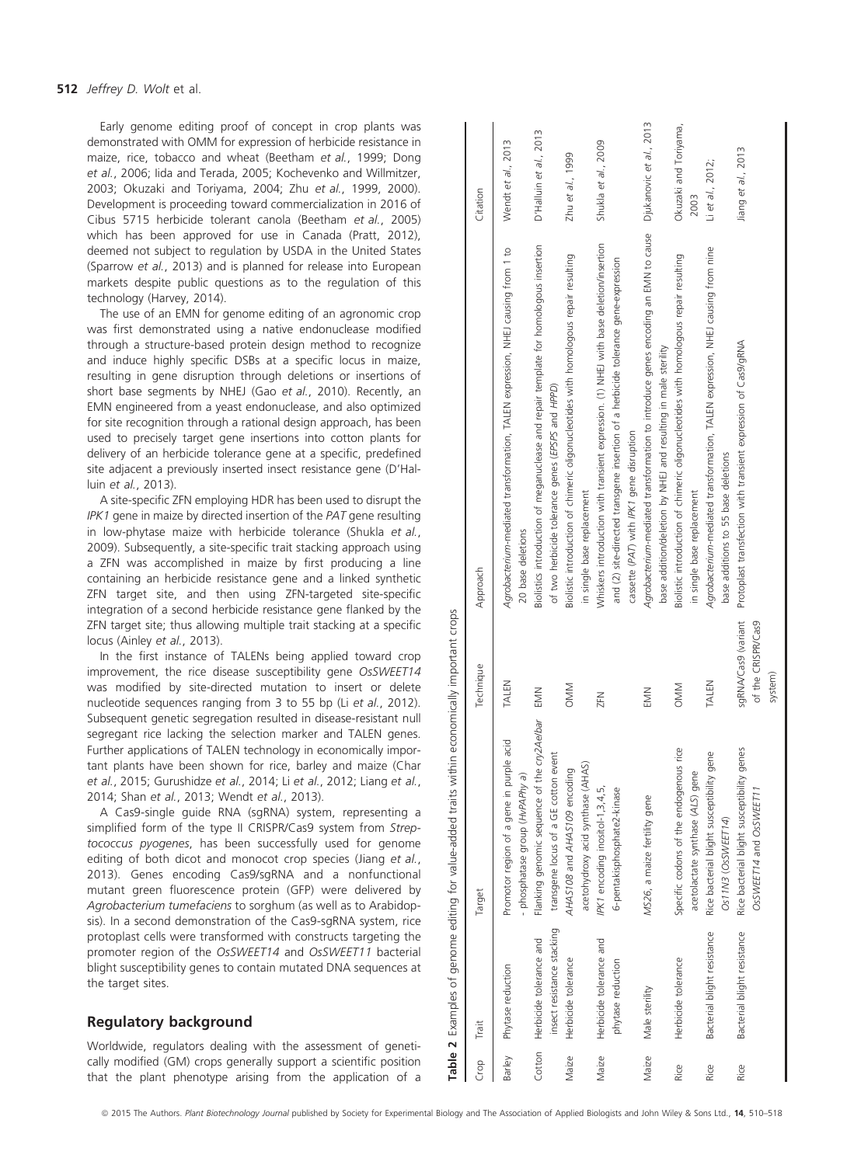Early genome editing proof of concept in crop plants was demonstrated with OMM for expression of herbicide resistance in maize, rice, tobacco and wheat (Beetham et al., 1999; Dong et al., 2006; Iida and Terada, 2005; Kochevenko and Willmitzer, 2003; Okuzaki and Toriyama, 2004; Zhu et al., 1999, 2000). Development is proceeding toward commercialization in 2016 of Cibus 5715 herbicide tolerant canola (Beetham et al., 2005) which has been approved for use in Canada (Pratt, 2012), deemed not subject to regulation by USDA in the United States (Sparrow et al., 2013) and is planned for release into European markets despite public questions as to the regulation of this technology (Harvey, 2014).

The use of an EMN for genome editing of an agronomic crop was first demonstrated using a native endonuclease modified through a structure-based protein design method to recognize and induce highly specific DSBs at a specific locus in maize, resulting in gene disruption through deletions or insertions of short base segments by NHEJ (Gao et al., 2010). Recently, an EMN engineered from a yeast endonuclease, and also optimized for site recognition through a rational design approach, has been used to precisely target gene insertions into cotton plants for delivery of an herbicide tolerance gene at a specific, predefined site adjacent a previously inserted insect resistance gene (D'Halluin et al., 2013).

A site-specific ZFN employing HDR has been used to disrupt the IPK1 gene in maize by directed insertion of the PAT gene resulting in low-phytase maize with herbicide tolerance (Shukla et al., 2009). Subsequently, a site-specific trait stacking approach using a ZFN was accomplished in maize by first producing a line containing an herbicide resistance gene and a linked synthetic ZFN target site, and then using ZFN-targeted site-specific integration of a second herbicide resistance gene flanked by the ZFN target site; thus allowing multiple trait stacking at a specific locus (Ainley et al., 2013).

In the first instance of TALENs being applied toward crop improvement, the rice disease susceptibility gene OsSWEET14 was modified by site-directed mutation to insert or delete nucleotide sequences ranging from 3 to 55 bp (Li et al., 2012). Subsequent genetic segregation resulted in disease-resistant null segregant rice lacking the selection marker and TALEN genes. Further applications of TALEN technology in economically important plants have been shown for rice, barley and maize (Char et al., 2015; Gurushidze et al., 2014; Li et al., 2012; Liang et al., 2014; Shan et al., 2013; Wendt et al., 2013).

A Cas9-single guide RNA (sgRNA) system, representing a simplified form of the type II CRISPR/Cas9 system from Streptococcus pyogenes, has been successfully used for genome editing of both dicot and monocot crop species (Jiang et al., 2013). Genes encoding Cas9/sgRNA and a nonfunctional mutant green fluorescence protein (GFP) were delivered by Agrobacterium tumefaciens to sorghum (as well as to Arabidopsis). In a second demonstration of the Cas9-sgRNA system, rice protoplast cells were transformed with constructs targeting the promoter region of the OsSWEET14 and OsSWEET11 bacterial blight susceptibility genes to contain mutated DNA sequences at the target sites.

# Regulatory background

Worldwide, regulators dealing with the assessment of genetically modified (GM) crops generally support a scientific position that the plant phenotype arising from the application of a

Djukanovic et al., 2013 Djukanovic et al., 2013 Okuzaki and Toriyama Okuzaki and Toriyama, D'Halluin et al., 2013 D'Halluin et al., 2013 Wendt et al., 2013 Shukla et al., 2009 Wendt et al., 2013 Shukla et al., 2009 iang et al., 2013 Protoplast transfection with transient expression of Cas9/gRNA Jiang et al., 2013 Zhu et al., 1999 Zhu et al., 1999 Li et al., 2012; Li et al., 2012; Citation Crop Trait Target Technique Approach Citation 2003 Agrobacterium-mediated transformation to introduce genes encoding an EMN to cause Maize Male sterility MS26, a maize fertility gene EMN Agrobacterium-mediated transformation to introduce genes encoding an EMN to cause Whiskers introduction with transient expression. (1) NHEJ with base deletion/insertion Biolistics introduction of meganuclease and repair template for homologous insertion ZFN Whiskers introduction with transient expression. (1) NHEJ with base deletion/insertion  $\circ$ EMN Biolistics introduction of meganuclease and repair template for homologous insertion TALEN Agrobacterium-mediated transformation, TALEN expression, NHEJ causing from 1 to Agrobacterium-mediated transformation, TALEN expression, NHEJ causing from nine TALEN Agrobacterium-mediated transformation, TALEN expression, NHEJ causing from nine Biolistic introduction of chimeric oligonucleotides with homologous repair resulting Biolistic introduction of chimeric oligonucleotides with homologous repair resulting OMM Biolistic introduction of chimeric oligonucleotides with homologous repair resulting OMM Biolistic introduction of chimeric oligonucleotides with homologous repair resulting Agrobacterium-mediated transformation, TALEN expression, NHEJ causing from 1 and (2) site-directed transgene insertion of a herbicide tolerance gene-expression and (2) site-directed transgene insertion of a herbicide tolerance gene-expression Protoplast transfection with transient expression of Cas9/gRNA base addition/deletion by NHEJ and resulting in male sterility base addition/deletion by NHEJ and resulting in male sterility of two herbicide tolerance genes (EPSPS and HPPD) of two herbicide tolerance genes (EPSPS and HPPD) gene disruption cassette (PAT) with IPK1 gene disruption deletions base additions to 55 base deletions in single base replacement in single base replacement base o in single base replacement in single base replacement cassette (PAT) with IPK1  $to$  55 20 base deletions 20 base deletions base additions Approach Examples of genome editing for value-added traits within economically important crops Table 2 Examples of genome editing for value-added traits within economically important crops sqRNA/Cas9 (variant of the CRISPR/Cas9 sgRNA/Cas9 (variant of the CRISPR/Cas9 echnique system) **TALEN** TALEN OMM OMM EMN EMN ZFN Flanking genomic sequence of the cry2Ae/bar Flanking genomic sequence of the cry2Ae/bar acid Barley Phytase reduction Promotor region of a gene in purple acid Specific codons of the endogenous rice Rice bacterial blight susceptibility genes Rice Bacterial blight resistance Rice bacterial blight susceptibility genes Rice Herbicide tolerance Specific codons of the endogenous rice transgene locus of a GE cotton event Rice bacterial blight susceptibility gene transgene locus of a GE cotton event Rice Bacterial blight resistance Rice bacterial blight susceptibility gene Promotor region of a gene in purple acetohydroxy acid synthase (AHAS) acetohydroxy acid synthase (AHAS) 4HAS108 and AHAS109 encoding gene Maize Herbicide tolerance AHAS108 and AHAS109 encoding acetolactate synthase (ALS) gene - phosphatase group (HvPAPhy a) phosphatase group (HvPAPhy OsSWEET14 and OsSWEET11 PK1 encoding inositol-1,3,4,5, IPK1 encoding inositol-1,3,4,5, 6-pentakisphosphate2-kinase 6-pentakisphosphate2-kinase OsSWEET14 and OsSWEET11 VIS26, a maize fertility gene acetolactate synthase (ALS) Os11N3 (OsSWEET14) Os11N3 (OsSWEET14) Target insect resistance stacking insect resistance stacking Bacterial blight resistance Bacterial blight resistance Herbicide tolerance and lerbicide tolerance and Cotton Herbicide tolerance and Maize Herbicide tolerance and Herbicide tolerance Herbicide tolerance phytase reduction phytase reduction Phytase reduction Vlale sterility Trait Table 2 Cotton Barley Maize Maize Maize Crop Rice  $\frac{1}{2}$ **Rice**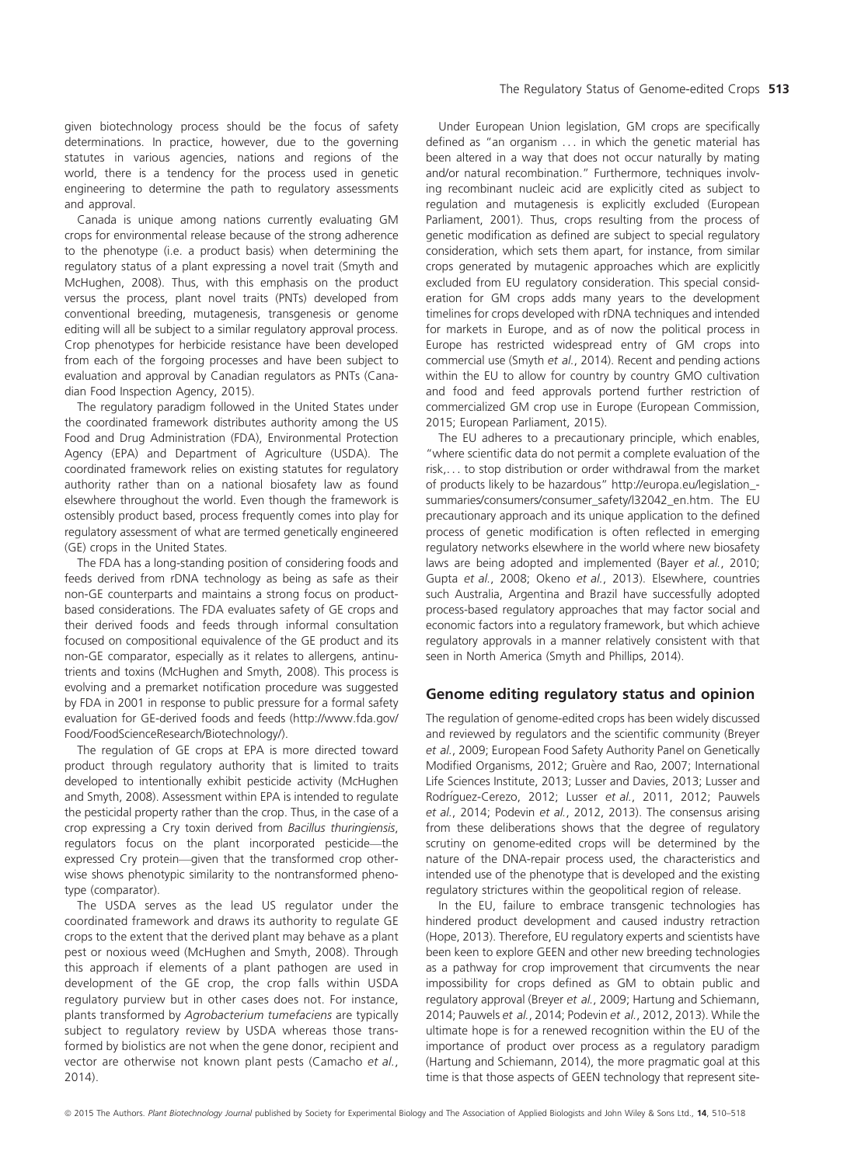given biotechnology process should be the focus of safety determinations. In practice, however, due to the governing statutes in various agencies, nations and regions of the world, there is a tendency for the process used in genetic engineering to determine the path to regulatory assessments and approval

Canada is unique among nations currently evaluating GM crops for environmental release because of the strong adherence to the phenotype (i.e. a product basis) when determining the regulatory status of a plant expressing a novel trait (Smyth and McHughen, 2008). Thus, with this emphasis on the product versus the process, plant novel traits (PNTs) developed from conventional breeding, mutagenesis, transgenesis or genome editing will all be subject to a similar regulatory approval process. Crop phenotypes for herbicide resistance have been developed from each of the forgoing processes and have been subject to evaluation and approval by Canadian regulators as PNTs (Canadian Food Inspection Agency, 2015).

The regulatory paradigm followed in the United States under the coordinated framework distributes authority among the US Food and Drug Administration (FDA), Environmental Protection Agency (EPA) and Department of Agriculture (USDA). The coordinated framework relies on existing statutes for regulatory authority rather than on a national biosafety law as found elsewhere throughout the world. Even though the framework is ostensibly product based, process frequently comes into play for regulatory assessment of what are termed genetically engineered (GE) crops in the United States.

The FDA has a long-standing position of considering foods and feeds derived from rDNA technology as being as safe as their non-GE counterparts and maintains a strong focus on productbased considerations. The FDA evaluates safety of GE crops and their derived foods and feeds through informal consultation focused on compositional equivalence of the GE product and its non-GE comparator, especially as it relates to allergens, antinutrients and toxins (McHughen and Smyth, 2008). This process is evolving and a premarket notification procedure was suggested by FDA in 2001 in response to public pressure for a formal safety evaluation for GE-derived foods and feeds [\(http://www.fda.gov/](http://www.fda.gov/Food/FoodScienceResearch/Biotechnology/) [Food/FoodScienceResearch/Biotechnology/\)](http://www.fda.gov/Food/FoodScienceResearch/Biotechnology/).

The regulation of GE crops at EPA is more directed toward product through regulatory authority that is limited to traits developed to intentionally exhibit pesticide activity (McHughen and Smyth, 2008). Assessment within EPA is intended to regulate the pesticidal property rather than the crop. Thus, in the case of a crop expressing a Cry toxin derived from Bacillus thuringiensis, regulators focus on the plant incorporated pesticide—the expressed Cry protein—given that the transformed crop otherwise shows phenotypic similarity to the nontransformed phenotype (comparator).

The USDA serves as the lead US regulator under the coordinated framework and draws its authority to regulate GE crops to the extent that the derived plant may behave as a plant pest or noxious weed (McHughen and Smyth, 2008). Through this approach if elements of a plant pathogen are used in development of the GE crop, the crop falls within USDA regulatory purview but in other cases does not. For instance, plants transformed by Agrobacterium tumefaciens are typically subject to regulatory review by USDA whereas those transformed by biolistics are not when the gene donor, recipient and vector are otherwise not known plant pests (Camacho et al., 2014).

Under European Union legislation, GM crops are specifically defined as "an organism ... in which the genetic material has been altered in a way that does not occur naturally by mating and/or natural recombination." Furthermore, techniques involving recombinant nucleic acid are explicitly cited as subject to regulation and mutagenesis is explicitly excluded (European Parliament, 2001). Thus, crops resulting from the process of genetic modification as defined are subject to special regulatory consideration, which sets them apart, for instance, from similar crops generated by mutagenic approaches which are explicitly excluded from EU regulatory consideration. This special consideration for GM crops adds many years to the development timelines for crops developed with rDNA techniques and intended for markets in Europe, and as of now the political process in Europe has restricted widespread entry of GM crops into commercial use (Smyth et al., 2014). Recent and pending actions within the EU to allow for country by country GMO cultivation and food and feed approvals portend further restriction of commercialized GM crop use in Europe (European Commission, 2015; European Parliament, 2015).

The EU adheres to a precautionary principle, which enables, "where scientific data do not permit a complete evaluation of the risk,... to stop distribution or order withdrawal from the market of products likely to be hazardous" [http://europa.eu/legislation\\_](http://europa.eu/legislation_summaries/consumers/consumer_safety/l32042_en.htm) [summaries/consumers/consumer\\_safety/l32042\\_en.htm](http://europa.eu/legislation_summaries/consumers/consumer_safety/l32042_en.htm). The EU precautionary approach and its unique application to the defined process of genetic modification is often reflected in emerging regulatory networks elsewhere in the world where new biosafety laws are being adopted and implemented (Bayer et al., 2010; Gupta et al., 2008; Okeno et al., 2013). Elsewhere, countries such Australia, Argentina and Brazil have successfully adopted process-based regulatory approaches that may factor social and economic factors into a regulatory framework, but which achieve regulatory approvals in a manner relatively consistent with that seen in North America (Smyth and Phillips, 2014).

## Genome editing regulatory status and opinion

The regulation of genome-edited crops has been widely discussed and reviewed by regulators and the scientific community (Breyer et al., 2009; European Food Safety Authority Panel on Genetically Modified Organisms, 2012; Gruère and Rao, 2007; International Life Sciences Institute, 2013; Lusser and Davies, 2013; Lusser and Rodríguez-Cerezo, 2012; Lusser et al., 2011, 2012; Pauwels et al., 2014; Podevin et al., 2012, 2013). The consensus arising from these deliberations shows that the degree of regulatory scrutiny on genome-edited crops will be determined by the nature of the DNA-repair process used, the characteristics and intended use of the phenotype that is developed and the existing regulatory strictures within the geopolitical region of release.

In the EU, failure to embrace transgenic technologies has hindered product development and caused industry retraction (Hope, 2013). Therefore, EU regulatory experts and scientists have been keen to explore GEEN and other new breeding technologies as a pathway for crop improvement that circumvents the near impossibility for crops defined as GM to obtain public and regulatory approval (Breyer et al., 2009; Hartung and Schiemann, 2014; Pauwels et al., 2014; Podevin et al., 2012, 2013). While the ultimate hope is for a renewed recognition within the EU of the importance of product over process as a regulatory paradigm (Hartung and Schiemann, 2014), the more pragmatic goal at this time is that those aspects of GEEN technology that represent site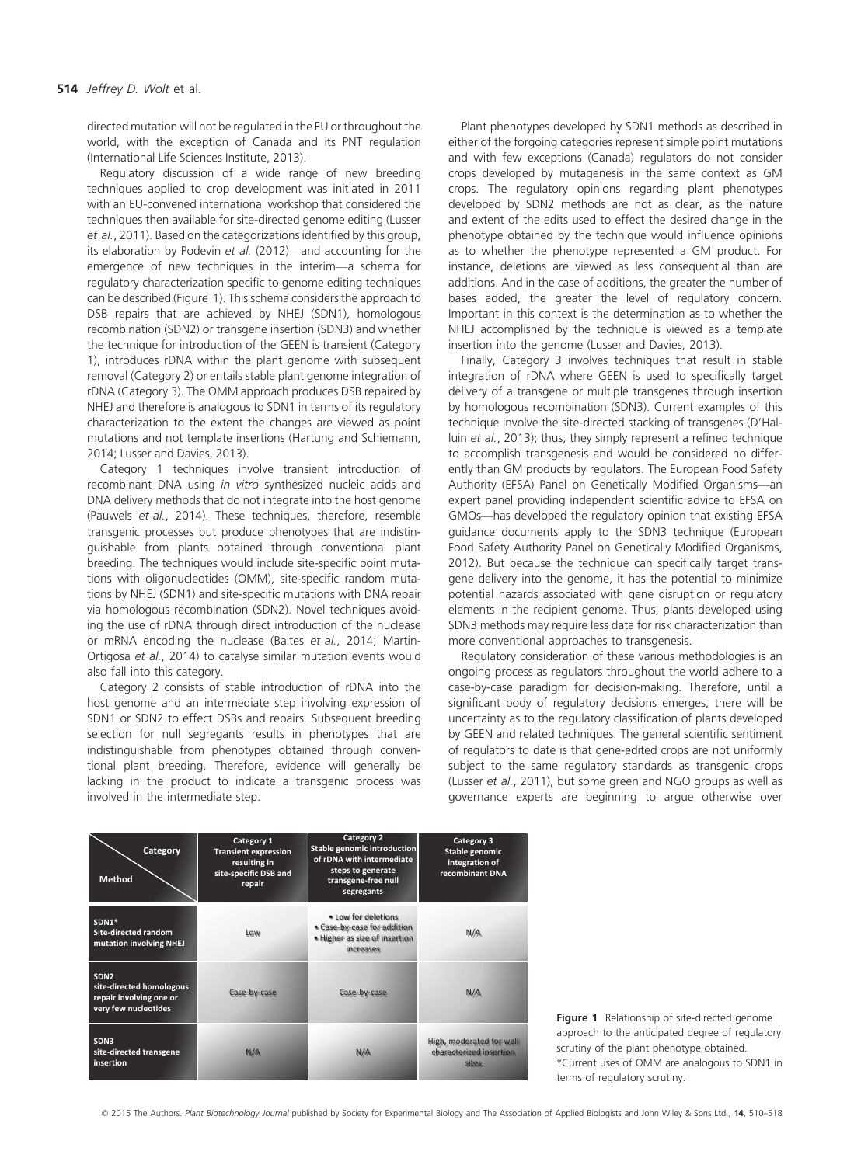directed mutation will not be regulated in the EU or throughout the world, with the exception of Canada and its PNT regulation (International Life Sciences Institute, 2013).

Regulatory discussion of a wide range of new breeding techniques applied to crop development was initiated in 2011 with an EU-convened international workshop that considered the techniques then available for site-directed genome editing (Lusser et al., 2011). Based on the categorizations identified by this group, its elaboration by Podevin et al. (2012)—and accounting for the emergence of new techniques in the interim—a schema for regulatory characterization specific to genome editing techniques can be described (Figure 1). This schema considers the approach to DSB repairs that are achieved by NHEJ (SDN1), homologous recombination (SDN2) or transgene insertion (SDN3) and whether the technique for introduction of the GEEN is transient (Category 1), introduces rDNA within the plant genome with subsequent removal (Category 2) or entails stable plant genome integration of rDNA (Category 3). The OMM approach produces DSB repaired by NHEJ and therefore is analogous to SDN1 in terms of its regulatory characterization to the extent the changes are viewed as point mutations and not template insertions (Hartung and Schiemann, 2014; Lusser and Davies, 2013).

Category 1 techniques involve transient introduction of recombinant DNA using in vitro synthesized nucleic acids and DNA delivery methods that do not integrate into the host genome (Pauwels et al., 2014). These techniques, therefore, resemble transgenic processes but produce phenotypes that are indistinguishable from plants obtained through conventional plant breeding. The techniques would include site-specific point mutations with oligonucleotides (OMM), site-specific random mutations by NHEJ (SDN1) and site-specific mutations with DNA repair via homologous recombination (SDN2). Novel techniques avoiding the use of rDNA through direct introduction of the nuclease or mRNA encoding the nuclease (Baltes et al., 2014; Martin-Ortigosa et al., 2014) to catalyse similar mutation events would also fall into this category.

Category 2 consists of stable introduction of rDNA into the host genome and an intermediate step involving expression of SDN1 or SDN2 to effect DSBs and repairs. Subsequent breeding selection for null segregants results in phenotypes that are indistinguishable from phenotypes obtained through conventional plant breeding. Therefore, evidence will generally be lacking in the product to indicate a transgenic process was involved in the intermediate step.

Plant phenotypes developed by SDN1 methods as described in either of the forgoing categories represent simple point mutations and with few exceptions (Canada) regulators do not consider crops developed by mutagenesis in the same context as GM crops. The regulatory opinions regarding plant phenotypes developed by SDN2 methods are not as clear, as the nature and extent of the edits used to effect the desired change in the phenotype obtained by the technique would influence opinions as to whether the phenotype represented a GM product. For instance, deletions are viewed as less consequential than are additions. And in the case of additions, the greater the number of bases added, the greater the level of regulatory concern. Important in this context is the determination as to whether the NHEJ accomplished by the technique is viewed as a template insertion into the genome (Lusser and Davies, 2013).

Finally, Category 3 involves techniques that result in stable integration of rDNA where GEEN is used to specifically target delivery of a transgene or multiple transgenes through insertion by homologous recombination (SDN3). Current examples of this technique involve the site-directed stacking of transgenes (D'Halluin et al., 2013); thus, they simply represent a refined technique to accomplish transgenesis and would be considered no differently than GM products by regulators. The European Food Safety Authority (EFSA) Panel on Genetically Modified Organisms—an expert panel providing independent scientific advice to EFSA on GMOs—has developed the regulatory opinion that existing EFSA guidance documents apply to the SDN3 technique (European Food Safety Authority Panel on Genetically Modified Organisms, 2012). But because the technique can specifically target transgene delivery into the genome, it has the potential to minimize potential hazards associated with gene disruption or regulatory elements in the recipient genome. Thus, plants developed using SDN3 methods may require less data for risk characterization than more conventional approaches to transgenesis.

Regulatory consideration of these various methodologies is an ongoing process as regulators throughout the world adhere to a case-by-case paradigm for decision-making. Therefore, until a significant body of regulatory decisions emerges, there will be uncertainty as to the regulatory classification of plants developed by GEEN and related techniques. The general scientific sentiment of regulators to date is that gene-edited crops are not uniformly subject to the same regulatory standards as transgenic crops (Lusser et al., 2011), but some green and NGO groups as well as governance experts are beginning to argue otherwise over

| Category<br><b>Method</b>                                                                       | Category 1<br><b>Transient expression</b><br>resulting in<br>site-specific DSB and<br>repair | Category 2<br><b>Stable genomic introduction</b><br>of rDNA with intermediate<br>steps to generate<br>transgene-free null<br>segregants | Category 3<br>Stable genomic<br>integration of<br>recombinant DNA |
|-------------------------------------------------------------------------------------------------|----------------------------------------------------------------------------------------------|-----------------------------------------------------------------------------------------------------------------------------------------|-------------------------------------------------------------------|
| SDN1*<br>Site-directed random<br>mutation involving NHEJ                                        | Low                                                                                          | . Low for deletions<br>· Case-by-case for addition<br>· Higher as size of insertion<br>increases                                        | N/A                                                               |
| SDN <sub>2</sub><br>site-directed homologous<br>repair involving one or<br>very few nucleotides | Case-by-case                                                                                 | Case-by-case                                                                                                                            | N/A                                                               |
| SDN3<br>site-directed transgene<br>insertion                                                    | N/A                                                                                          | N/A                                                                                                                                     | High, moderated for well<br>characterized insertion<br>sites      |

Figure 1 Relationship of site-directed genome approach to the anticipated degree of regulatory scrutiny of the plant phenotype obtained. \*Current uses of OMM are analogous to SDN1 in terms of regulatory scrutiny.

@ 2015 The Authors. Plant Biotechnology Journal published by Society for Experimental Biology and The Association of Applied Biologists and John Wiley & Sons Ltd., 14, 510-518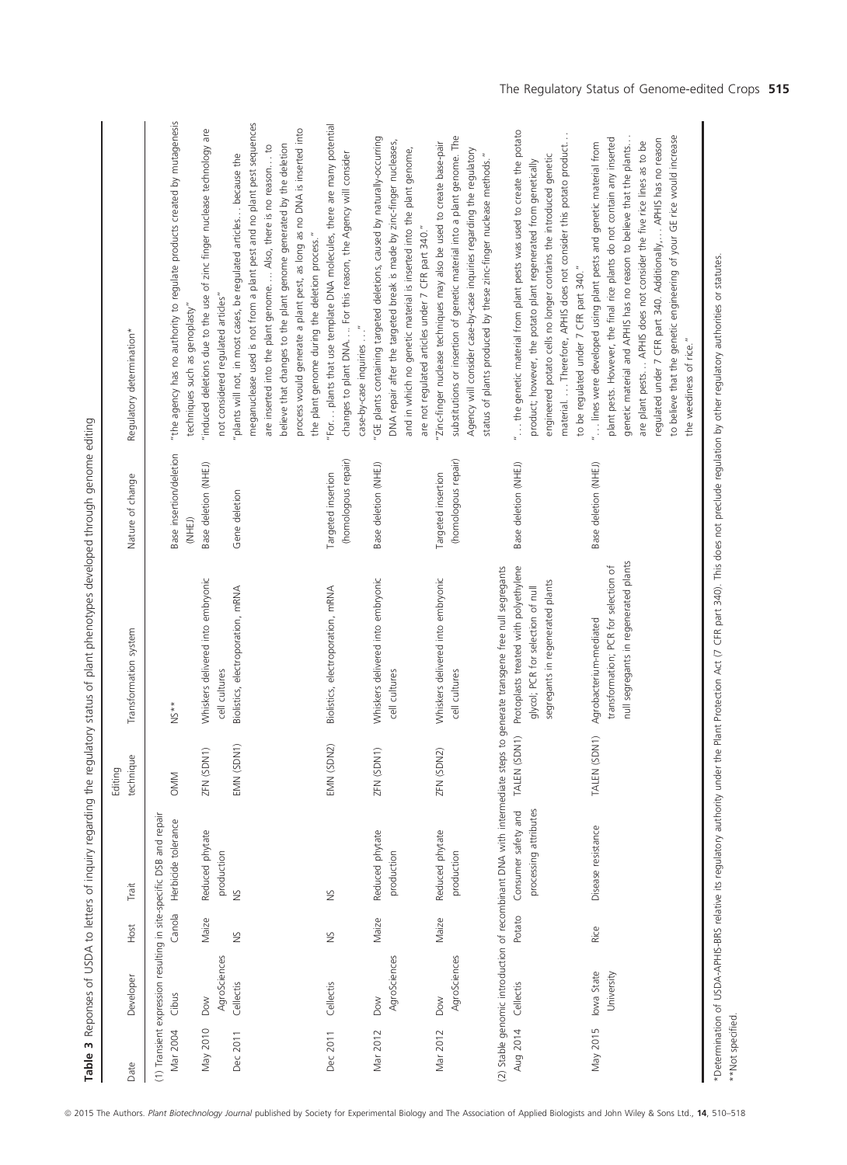| Date             | Developer                | Host   | Trait                                                                                            | technique<br>Editing | Transformation system                                                                                                                                                                                                                   | Nature of change                          | Regulatory determination*                                                                                                                                                                                                                                                                                                                                                                                                                                               |
|------------------|--------------------------|--------|--------------------------------------------------------------------------------------------------|----------------------|-----------------------------------------------------------------------------------------------------------------------------------------------------------------------------------------------------------------------------------------|-------------------------------------------|-------------------------------------------------------------------------------------------------------------------------------------------------------------------------------------------------------------------------------------------------------------------------------------------------------------------------------------------------------------------------------------------------------------------------------------------------------------------------|
| Mar 2004         | Cibus                    |        | (1) Transient expression resulting in site-specific DSB and repair<br>Canola Herbicide tolerance | <b>NNO</b>           | $NS**$                                                                                                                                                                                                                                  | Base insertion/deletion                   | "the agency has no authority to regulate products created by mutagenesis                                                                                                                                                                                                                                                                                                                                                                                                |
| May 2010         | AgroSciences<br>Dow      | Maize  | Reduced phytate<br>production                                                                    | ZFN (SDN1)           | Whiskers delivered into embryonic<br>cell cultures                                                                                                                                                                                      | Base deletion (NHEJ)<br><b>CENNA</b>      | "induced deletions due to the use of zinc finger nuclease technology are<br>not considered regulated articles"<br>techniques such as genoplasty"                                                                                                                                                                                                                                                                                                                        |
| Dec 2011         | Cellectis                | Š      | $\geq$                                                                                           | EMN (SDN             | Biolistics, electroporation, mRNA                                                                                                                                                                                                       | Gene deletion                             | "plants will not, in most cases, be regulated articles because the                                                                                                                                                                                                                                                                                                                                                                                                      |
|                  |                          |        |                                                                                                  |                      |                                                                                                                                                                                                                                         |                                           | meganuclease used is not from a plant pest and no plant pest sequences<br>process would generate a plant pest, as long as no DNA is inserted into<br>believe that changes to the plant genome generated by the deletion<br>are inserted into the plant genome Also, there is no reason to<br>the plant genome during the deletion process."                                                                                                                             |
| Dec 2011         | Cellectis                | $\geq$ | $\geq$                                                                                           | EMN (SDN2)           | Biolistics, electroporation, mRNA                                                                                                                                                                                                       | (homologous repair)<br>Targeted insertion | "For plants that use template DNA molecules, there are many potential<br>changes to plant DNA For this reason, the Agency will consider<br>case-by-case inquiries                                                                                                                                                                                                                                                                                                       |
| Mar 2012         | AgroSciences<br>Dow      | Maize  | Reduced phytate<br>production                                                                    | ZFN (SDN1            | Whiskers delivered into embryonic<br>cell cultures                                                                                                                                                                                      | Base deletion (NHEJ)                      | "GE plants containing targeted deletions, caused by naturally-occurring<br>DNA repair after the targeted break is made by zinc-finger nucleases,<br>and in which no genetic material is inserted into the plant genome,<br>are not regulated articles under 7 CFR part 340."                                                                                                                                                                                            |
| Mar 2012         | AgroSciences<br>Dow      | Maize  | Reduced phytate<br>production                                                                    | ZFN (SDN2)           | Whiskers delivered into embryonic<br>cell cultures                                                                                                                                                                                      | (homologous repair)<br>Targeted insertion | substitutions or insertion of genetic material into a plant genome. The<br>"Zinc-finger nuclease techniques may also be used to create base-pair<br>Agency will consider case-by-case inquiries regarding the regulatory<br>status of plants produced by these zinc-finger nuclease methods."                                                                                                                                                                           |
| Aug 2014         | Cellectis                | Potato | processing attributes<br>Consumer safety and                                                     | TALEN (SDN1)         | Protoplasts treated with polyethylene<br>(2) Stable genomic introduction of recombinant DNA with intermediate steps to generate transgene free null segregants<br>segregants in regenerated plants<br>glycol; PCR for selection of null | Base deletion (NHEJ)                      | " the genetic material from plant pests was used to create the potato<br>material.  Therefore, APHIS does not consider this potato product<br>engineered potato cells no longer contains the introduced genetic<br>product; however, the potato plant regenerated from genetically<br>to be regulated under 7 CFR part 340."                                                                                                                                            |
| May 2015         | lowa State<br>University | Rice   | Disease resistance                                                                               | TALEN (SDN1)         | null segregants in regenerated plants<br>transformation; PCR for selection of<br>Agrobacterium-mediated                                                                                                                                 | Base deletion (NHEJ)                      | genetic material and APHIS has no reason to believe that the plants<br>to believe that the genetic engineering of your GE rice would increase<br>plant pests. However, the final rice plants do not contain any inserted<br>regulated under 7 CFR part 340. Additionally, APHIS has no reason<br>"  lines were developed using plant pests and genetic material from<br>are plant pests APHIS does not consider the five rice lines as to be<br>the weediness of rice." |
| **Not specified. |                          |        | *Determination of USDA-APHIS-BRS relative its regulatory authority under the                     |                      |                                                                                                                                                                                                                                         |                                           | Plant Protection Act (7 CFR part 340). This does not preclude regulation by other regulatory authorities or statutes.                                                                                                                                                                                                                                                                                                                                                   |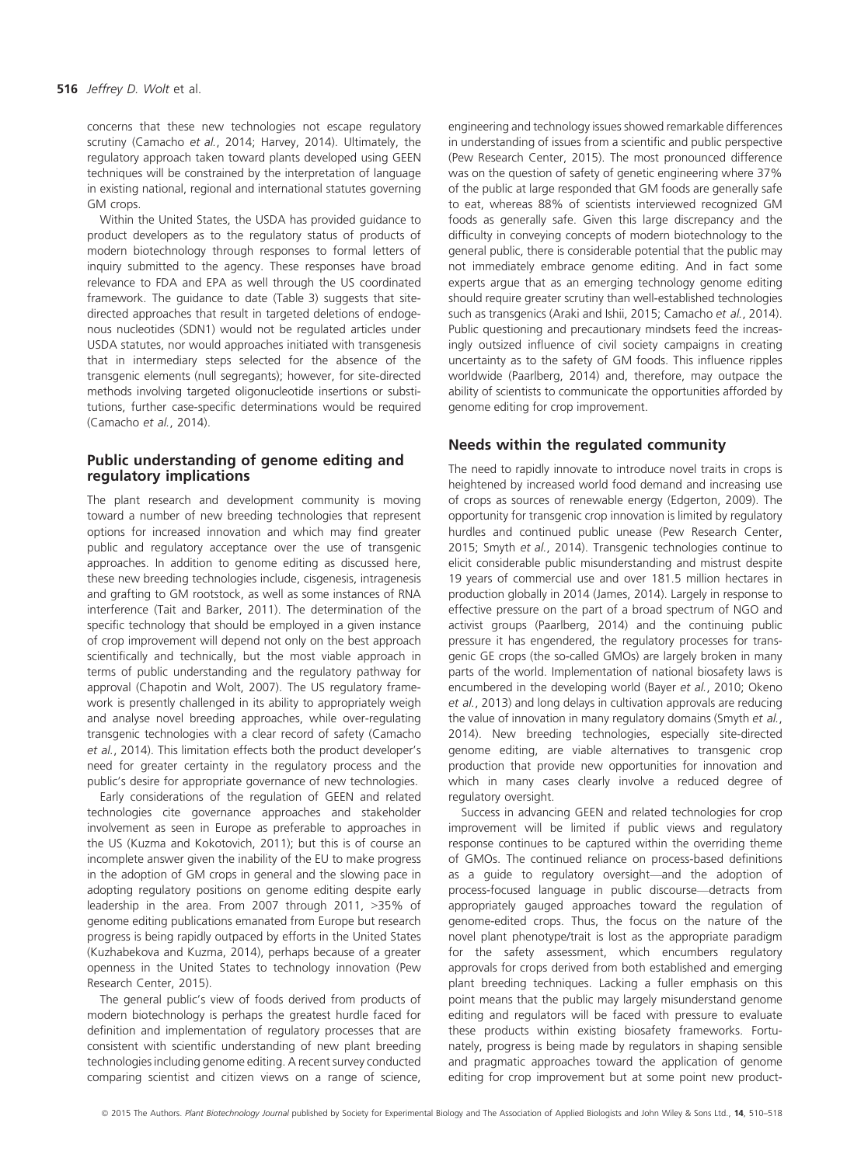concerns that these new technologies not escape regulatory scrutiny (Camacho et al., 2014; Harvey, 2014). Ultimately, the regulatory approach taken toward plants developed using GEEN techniques will be constrained by the interpretation of language in existing national, regional and international statutes governing GM crops.

Within the United States, the USDA has provided guidance to product developers as to the regulatory status of products of modern biotechnology through responses to formal letters of inquiry submitted to the agency. These responses have broad relevance to FDA and EPA as well through the US coordinated framework. The guidance to date (Table 3) suggests that sitedirected approaches that result in targeted deletions of endogenous nucleotides (SDN1) would not be regulated articles under USDA statutes, nor would approaches initiated with transgenesis that in intermediary steps selected for the absence of the transgenic elements (null segregants); however, for site-directed methods involving targeted oligonucleotide insertions or substitutions, further case-specific determinations would be required (Camacho et al., 2014).

## Public understanding of genome editing and regulatory implications

The plant research and development community is moving toward a number of new breeding technologies that represent options for increased innovation and which may find greater public and regulatory acceptance over the use of transgenic approaches. In addition to genome editing as discussed here, these new breeding technologies include, cisgenesis, intragenesis and grafting to GM rootstock, as well as some instances of RNA interference (Tait and Barker, 2011). The determination of the specific technology that should be employed in a given instance of crop improvement will depend not only on the best approach scientifically and technically, but the most viable approach in terms of public understanding and the regulatory pathway for approval (Chapotin and Wolt, 2007). The US regulatory framework is presently challenged in its ability to appropriately weigh and analyse novel breeding approaches, while over-regulating transgenic technologies with a clear record of safety (Camacho et al., 2014). This limitation effects both the product developer's need for greater certainty in the regulatory process and the public's desire for appropriate governance of new technologies.

Early considerations of the regulation of GEEN and related technologies cite governance approaches and stakeholder involvement as seen in Europe as preferable to approaches in the US (Kuzma and Kokotovich, 2011); but this is of course an incomplete answer given the inability of the EU to make progress in the adoption of GM crops in general and the slowing pace in adopting regulatory positions on genome editing despite early leadership in the area. From 2007 through 2011, >35% of genome editing publications emanated from Europe but research progress is being rapidly outpaced by efforts in the United States (Kuzhabekova and Kuzma, 2014), perhaps because of a greater openness in the United States to technology innovation (Pew Research Center, 2015).

The general public's view of foods derived from products of modern biotechnology is perhaps the greatest hurdle faced for definition and implementation of regulatory processes that are consistent with scientific understanding of new plant breeding technologies including genome editing. A recent survey conducted comparing scientist and citizen views on a range of science,

engineering and technology issues showed remarkable differences in understanding of issues from a scientific and public perspective (Pew Research Center, 2015). The most pronounced difference was on the question of safety of genetic engineering where 37% of the public at large responded that GM foods are generally safe to eat, whereas 88% of scientists interviewed recognized GM foods as generally safe. Given this large discrepancy and the difficulty in conveying concepts of modern biotechnology to the general public, there is considerable potential that the public may not immediately embrace genome editing. And in fact some experts argue that as an emerging technology genome editing should require greater scrutiny than well-established technologies such as transgenics (Araki and Ishii, 2015; Camacho et al., 2014). Public questioning and precautionary mindsets feed the increasingly outsized influence of civil society campaigns in creating uncertainty as to the safety of GM foods. This influence ripples worldwide (Paarlberg, 2014) and, therefore, may outpace the ability of scientists to communicate the opportunities afforded by genome editing for crop improvement.

## Needs within the regulated community

The need to rapidly innovate to introduce novel traits in crops is heightened by increased world food demand and increasing use of crops as sources of renewable energy (Edgerton, 2009). The opportunity for transgenic crop innovation is limited by regulatory hurdles and continued public unease (Pew Research Center, 2015; Smyth et al., 2014). Transgenic technologies continue to elicit considerable public misunderstanding and mistrust despite 19 years of commercial use and over 181.5 million hectares in production globally in 2014 (James, 2014). Largely in response to effective pressure on the part of a broad spectrum of NGO and activist groups (Paarlberg, 2014) and the continuing public pressure it has engendered, the regulatory processes for transgenic GE crops (the so-called GMOs) are largely broken in many parts of the world. Implementation of national biosafety laws is encumbered in the developing world (Bayer et al., 2010; Okeno et al., 2013) and long delays in cultivation approvals are reducing the value of innovation in many regulatory domains (Smyth et al., 2014). New breeding technologies, especially site-directed genome editing, are viable alternatives to transgenic crop production that provide new opportunities for innovation and which in many cases clearly involve a reduced degree of regulatory oversight.

Success in advancing GEEN and related technologies for crop improvement will be limited if public views and regulatory response continues to be captured within the overriding theme of GMOs. The continued reliance on process-based definitions as a guide to regulatory oversight—and the adoption of process-focused language in public discourse—detracts from appropriately gauged approaches toward the regulation of genome-edited crops. Thus, the focus on the nature of the novel plant phenotype/trait is lost as the appropriate paradigm for the safety assessment, which encumbers regulatory approvals for crops derived from both established and emerging plant breeding techniques. Lacking a fuller emphasis on this point means that the public may largely misunderstand genome editing and regulators will be faced with pressure to evaluate these products within existing biosafety frameworks. Fortunately, progress is being made by regulators in shaping sensible and pragmatic approaches toward the application of genome editing for crop improvement but at some point new product-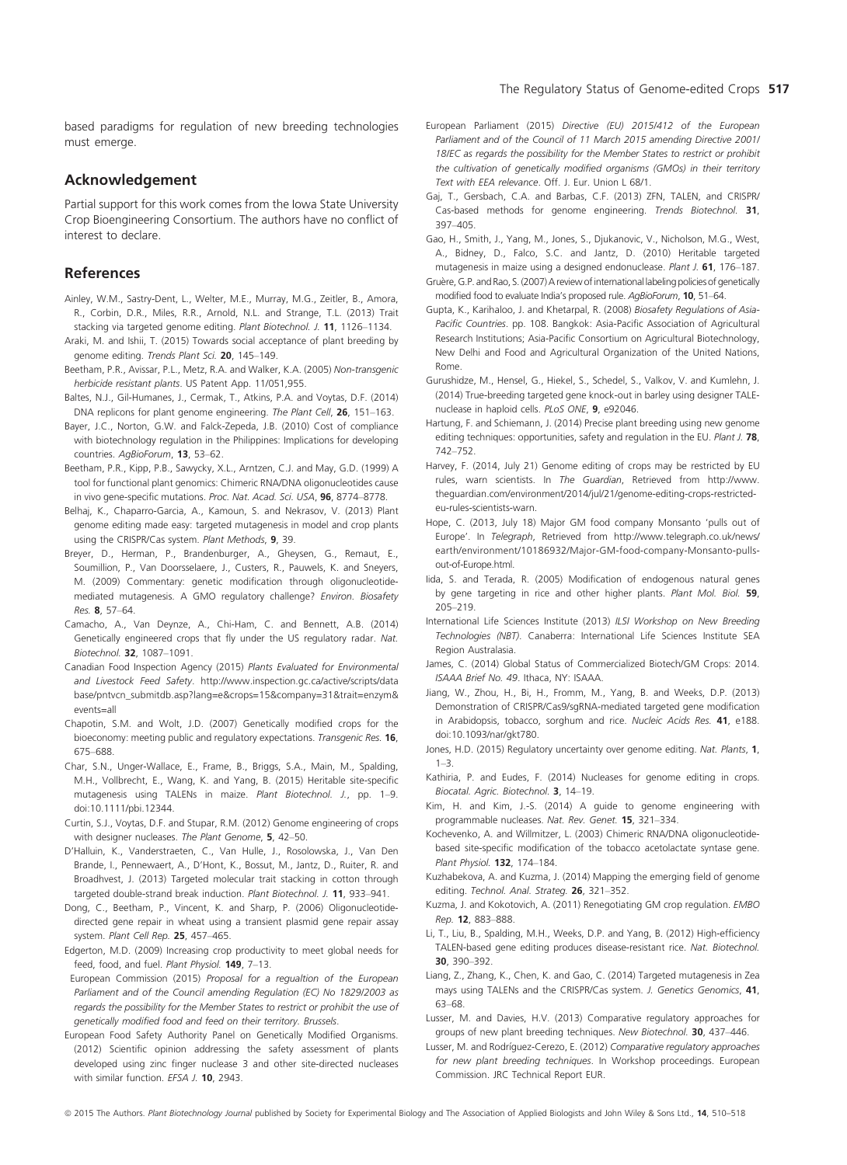based paradigms for regulation of new breeding technologies must emerge.

## Acknowledgement

Partial support for this work comes from the Iowa State University Crop Bioengineering Consortium. The authors have no conflict of interest to declare.

## References

- Ainley, W.M., Sastry-Dent, L., Welter, M.E., Murray, M.G., Zeitler, B., Amora, R., Corbin, D.R., Miles, R.R., Arnold, N.L. and Strange, T.L. (2013) Trait stacking via targeted genome editing. Plant Biotechnol. J. 11, 1126-1134.
- Araki, M. and Ishii, T. (2015) Towards social acceptance of plant breeding by genome editing. Trends Plant Sci. 20, 145-149.
- Beetham, P.R., Avissar, P.L., Metz, R.A. and Walker, K.A. (2005) Non-transgenic herbicide resistant plants. US Patent App. 11/051,955.
- Baltes, N.J., Gil-Humanes, J., Cermak, T., Atkins, P.A. and Voytas, D.F. (2014) DNA replicons for plant genome engineering. The Plant Cell, 26, 151-163.
- Bayer, J.C., Norton, G.W. and Falck-Zepeda, J.B. (2010) Cost of compliance with biotechnology regulation in the Philippines: Implications for developing countries. AgBioForum, 13, 53–62.
- Beetham, P.R., Kipp, P.B., Sawycky, X.L., Arntzen, C.J. and May, G.D. (1999) A tool for functional plant genomics: Chimeric RNA/DNA oligonucleotides cause in vivo gene-specific mutations. Proc. Nat. Acad. Sci. USA, 96, 8774–8778.
- Belhaj, K., Chaparro-Garcia, A., Kamoun, S. and Nekrasov, V. (2013) Plant genome editing made easy: targeted mutagenesis in model and crop plants using the CRISPR/Cas system. Plant Methods, 9, 39.
- Breyer, D., Herman, P., Brandenburger, A., Gheysen, G., Remaut, E., Soumillion, P., Van Doorsselaere, J., Custers, R., Pauwels, K. and Sneyers, M. (2009) Commentary: genetic modification through oligonucleotidemediated mutagenesis. A GMO regulatory challenge? Environ. Biosafety Res. 8, 57–64.
- Camacho, A., Van Deynze, A., Chi-Ham, C. and Bennett, A.B. (2014) Genetically engineered crops that fly under the US regulatory radar. Nat. Biotechnol. 32, 1087–1091.
- Canadian Food Inspection Agency (2015) Plants Evaluated for Environmental and Livestock Feed Safety. [http://www.inspection.gc.ca/active/scripts/data](http://www.inspection.gc.ca/active/scripts/database/pntvcn_submitdb.asp?lang=e%26crops=15%26company=31%26trait=enzym%26events=all) [base/pntvcn\\_submitdb.asp?lang=e&crops=15&company=31&trait=enzym&](http://www.inspection.gc.ca/active/scripts/database/pntvcn_submitdb.asp?lang=e%26crops=15%26company=31%26trait=enzym%26events=all) [events=all](http://www.inspection.gc.ca/active/scripts/database/pntvcn_submitdb.asp?lang=e%26crops=15%26company=31%26trait=enzym%26events=all)
- Chapotin, S.M. and Wolt, J.D. (2007) Genetically modified crops for the bioeconomy: meeting public and regulatory expectations. Transgenic Res. 16, 675–688.
- Char, S.N., Unger-Wallace, E., Frame, B., Briggs, S.A., Main, M., Spalding, M.H., Vollbrecht, E., Wang, K. and Yang, B. (2015) Heritable site-specific mutagenesis using TALENs in maize. Plant Biotechnol. J., pp. 1–9. doi[:10.1111/pbi.12344.](http://dx.doi.org/10.1111/pbi.12344)
- Curtin, S.J., Voytas, D.F. and Stupar, R.M. (2012) Genome engineering of crops with designer nucleases. The Plant Genome, 5, 42–50.
- D'Halluin, K., Vanderstraeten, C., Van Hulle, J., Rosolowska, J., Van Den Brande, I., Pennewaert, A., D'Hont, K., Bossut, M., Jantz, D., Ruiter, R. and Broadhvest, J. (2013) Targeted molecular trait stacking in cotton through targeted double-strand break induction. Plant Biotechnol. J. 11, 933-941.
- Dong, C., Beetham, P., Vincent, K. and Sharp, P. (2006) Oligonucleotidedirected gene repair in wheat using a transient plasmid gene repair assay system. Plant Cell Rep. 25, 457-465.
- Edgerton, M.D. (2009) Increasing crop productivity to meet global needs for feed, food, and fuel. Plant Physiol. 149, 7–13.
- European Commission (2015) Proposal for a regualtion of the European Parliament and of the Council amending Regulation (EC) No 1829/2003 as regards the possibility for the Member States to restrict or prohibit the use of genetically modified food and feed on their territory. Brussels.
- European Food Safety Authority Panel on Genetically Modified Organisms. (2012) Scientific opinion addressing the safety assessment of plants developed using zinc finger nuclease 3 and other site-directed nucleases with similar function. EFSA J. 10, 2943.
- European Parliament (2015) Directive (EU) 2015/412 of the European Parliament and of the Council of 11 March 2015 amending Directive 2001/ 18/EC as regards the possibility for the Member States to restrict or prohibit the cultivation of genetically modified organisms (GMOs) in their territory Text with EEA relevance. Off. J. Eur. Union L 68/1.
- Gaj, T., Gersbach, C.A. and Barbas, C.F. (2013) ZFN, TALEN, and CRISPR/ Cas-based methods for genome engineering. Trends Biotechnol. 31, 397–405.
- Gao, H., Smith, J., Yang, M., Jones, S., Djukanovic, V., Nicholson, M.G., West, A., Bidney, D., Falco, S.C. and Jantz, D. (2010) Heritable targeted mutagenesis in maize using a designed endonuclease. Plant J. 61, 176-187.
- Gruère, G.P. and Rao, S. (2007) A review of international labeling policies of genetically modified food to evaluate India's proposed rule. AgBioForum, 10, 51–64.
- Gupta, K., Karihaloo, J. and Khetarpal, R. (2008) Biosafety Regulations of Asia-Pacific Countries. pp. 108. Bangkok: Asia-Pacific Association of Agricultural Research Institutions; Asia-Pacific Consortium on Agricultural Biotechnology, New Delhi and Food and Agricultural Organization of the United Nations, Rome.
- Gurushidze, M., Hensel, G., Hiekel, S., Schedel, S., Valkov, V. and Kumlehn, J. (2014) True-breeding targeted gene knock-out in barley using designer TALEnuclease in haploid cells. PLoS ONE, 9, e92046.
- Hartung, F. and Schiemann, J. (2014) Precise plant breeding using new genome editing techniques: opportunities, safety and regulation in the EU. Plant J. 78, 742–752.
- Harvey, F. (2014, July 21) Genome editing of crops may be restricted by EU rules, warn scientists. In The Guardian, Retrieved from [http://www.](http://www.theguardian.com/environment/2014/jul/21/genome-editing-crops-restricted-eu-rules-scientists-warn) [theguardian.com/environment/2014/jul/21/genome-editing-crops-restricted](http://www.theguardian.com/environment/2014/jul/21/genome-editing-crops-restricted-eu-rules-scientists-warn)[eu-rules-scientists-warn.](http://www.theguardian.com/environment/2014/jul/21/genome-editing-crops-restricted-eu-rules-scientists-warn)
- Hope, C. (2013, July 18) Major GM food company Monsanto 'pulls out of Europe'. In Telegraph, Retrieved from [http://www.telegraph.co.uk/news/](http://www.telegraph.co.uk/news/earth/environment/10186932/Major-GM-food-company-Monsanto-pulls-out-of-Europe.html) [earth/environment/10186932/Major-GM-food-company-Monsanto-pulls](http://www.telegraph.co.uk/news/earth/environment/10186932/Major-GM-food-company-Monsanto-pulls-out-of-Europe.html)[out-of-Europe.html.](http://www.telegraph.co.uk/news/earth/environment/10186932/Major-GM-food-company-Monsanto-pulls-out-of-Europe.html)
- Iida, S. and Terada, R. (2005) Modification of endogenous natural genes by gene targeting in rice and other higher plants. Plant Mol. Biol. 59, 205–219.
- International Life Sciences Institute (2013) ILSI Workshop on New Breeding Technologies (NBT). Canaberra: International Life Sciences Institute SEA Region Australasia.
- James, C. (2014) Global Status of Commercialized Biotech/GM Crops: 2014. ISAAA Brief No. 49. Ithaca, NY: ISAAA.
- Jiang, W., Zhou, H., Bi, H., Fromm, M., Yang, B. and Weeks, D.P. (2013) Demonstration of CRISPR/Cas9/sgRNA-mediated targeted gene modification in Arabidopsis, tobacco, sorghum and rice. Nucleic Acids Res. 41, e188. doi[:10.1093/nar/gkt780](http://dx.doi.org/10.1093/nar/gkt780).
- Jones, H.D. (2015) Regulatory uncertainty over genome editing. Nat. Plants, 1,  $1 - 3$
- Kathiria, P. and Eudes, F. (2014) Nucleases for genome editing in crops. Biocatal. Agric. Biotechnol. 3, 14-19.
- Kim, H. and Kim, J.-S. (2014) A guide to genome engineering with programmable nucleases. Nat. Rev. Genet. 15, 321–334.
- Kochevenko, A. and Willmitzer, L. (2003) Chimeric RNA/DNA oligonucleotidebased site-specific modification of the tobacco acetolactate syntase gene. Plant Physiol. 132, 174–184.
- Kuzhabekova, A. and Kuzma, J. (2014) Mapping the emerging field of genome editing. Technol. Anal. Strateg. 26, 321-352.
- Kuzma, J. and Kokotovich, A. (2011) Renegotiating GM crop regulation. EMBO Rep. 12, 883–888.
- Li, T., Liu, B., Spalding, M.H., Weeks, D.P. and Yang, B. (2012) High-efficiency TALEN-based gene editing produces disease-resistant rice. Nat. Biotechnol. 30, 390–392.
- Liang, Z., Zhang, K., Chen, K. and Gao, C. (2014) Targeted mutagenesis in Zea mays using TALENs and the CRISPR/Cas system. J. Genetics Genomics, 41, 63–68.
- Lusser, M. and Davies, H.V. (2013) Comparative regulatory approaches for groups of new plant breeding techniques. New Biotechnol. 30, 437-446.
- Lusser, M. and Rodríguez-Cerezo, E. (2012) Comparative regulatory approaches for new plant breeding techniques. In Workshop proceedings. European Commission. JRC Technical Report EUR.